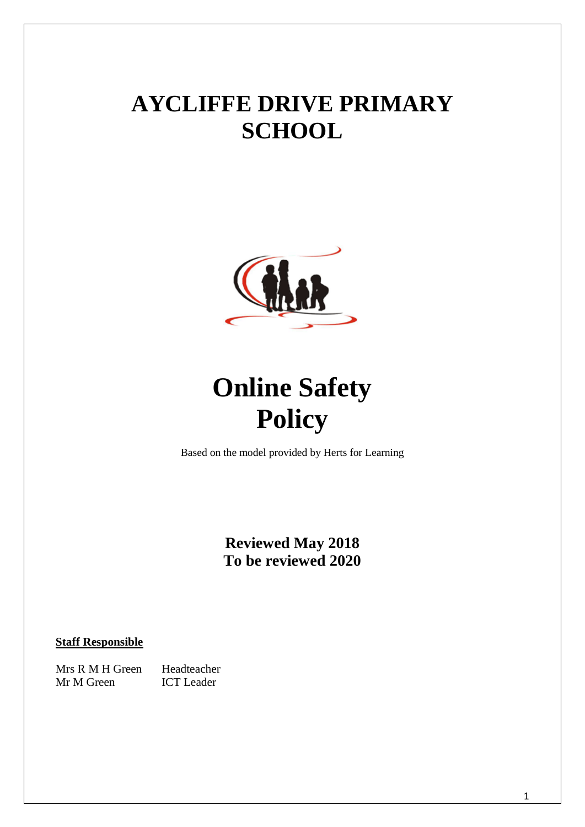## <span id="page-0-0"></span>**AYCLIFFE DRIVE PRIMARY SCHOOL**



# **Online Safety Policy**

Based on the model provided by Herts for Learning

**Reviewed May 2018 To be reviewed 2020**

## **Staff Responsible**

Mrs R M H Green Headteacher Mr M Green ICT Leader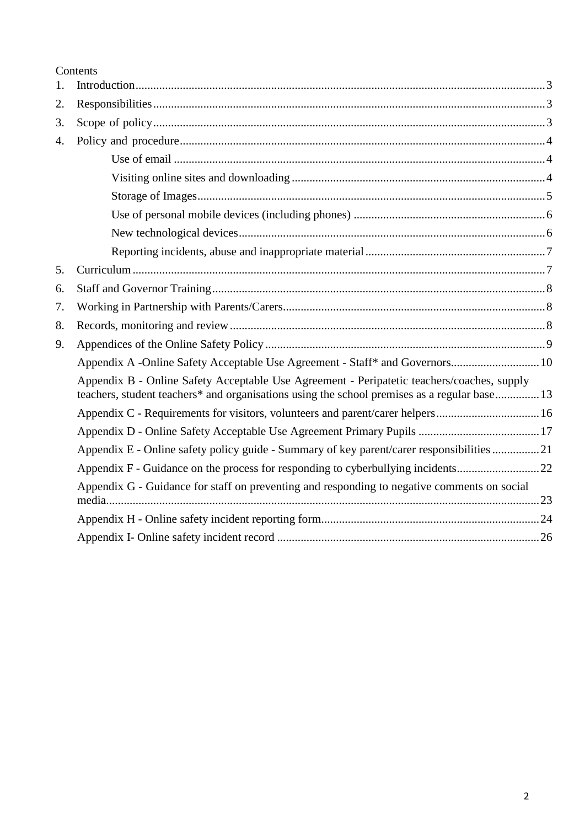Contents

| 1.               |                                                                                                                                                                                           |  |
|------------------|-------------------------------------------------------------------------------------------------------------------------------------------------------------------------------------------|--|
| 2.               |                                                                                                                                                                                           |  |
| 3.               |                                                                                                                                                                                           |  |
| $\overline{4}$ . |                                                                                                                                                                                           |  |
|                  |                                                                                                                                                                                           |  |
|                  |                                                                                                                                                                                           |  |
|                  |                                                                                                                                                                                           |  |
|                  |                                                                                                                                                                                           |  |
|                  |                                                                                                                                                                                           |  |
|                  |                                                                                                                                                                                           |  |
| 5.               |                                                                                                                                                                                           |  |
| 6.               |                                                                                                                                                                                           |  |
| 7.               |                                                                                                                                                                                           |  |
| 8.               |                                                                                                                                                                                           |  |
| 9.               |                                                                                                                                                                                           |  |
|                  | Appendix A -Online Safety Acceptable Use Agreement - Staff* and Governors 10                                                                                                              |  |
|                  | Appendix B - Online Safety Acceptable Use Agreement - Peripatetic teachers/coaches, supply<br>teachers, student teachers* and organisations using the school premises as a regular base13 |  |
|                  | Appendix C - Requirements for visitors, volunteers and parent/carer helpers16                                                                                                             |  |
|                  |                                                                                                                                                                                           |  |
|                  | Appendix E - Online safety policy guide - Summary of key parent/carer responsibilities 21                                                                                                 |  |
|                  |                                                                                                                                                                                           |  |
|                  | Appendix G - Guidance for staff on preventing and responding to negative comments on social                                                                                               |  |
|                  |                                                                                                                                                                                           |  |
|                  |                                                                                                                                                                                           |  |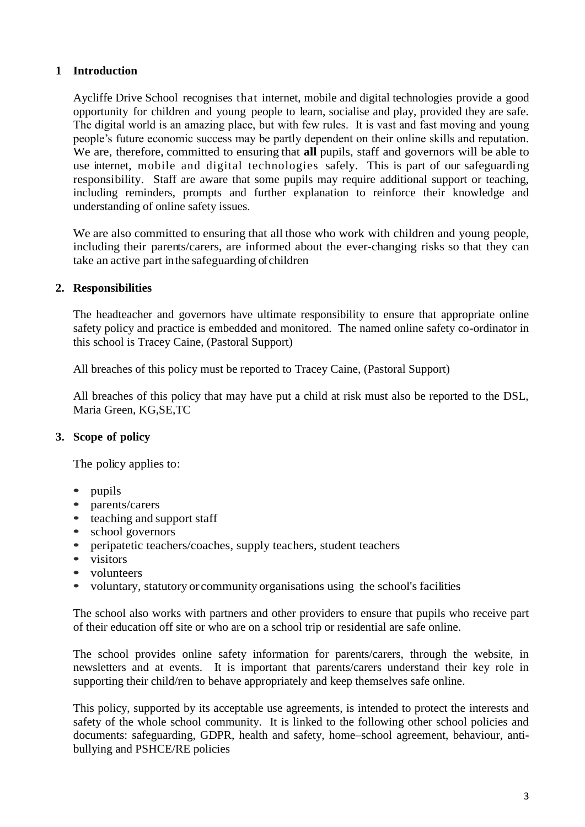## **1 Introduction**

Aycliffe Drive School recognises that internet, mobile and digital technologies provide a good opportunity for children and young people to learn, socialise and play, provided they are safe. The digital world is an amazing place, but with few rules. It is vast and fast moving and young people's future economic success may be partly dependent on their online skills and reputation. We are, therefore, committed to ensuring that **all** pupils, staff and governors will be able to use internet, mobile and digital technologies safely. This is part of our safeguarding responsibility. Staff are aware that some pupils may require additional support or teaching, including reminders, prompts and further explanation to reinforce their knowledge and understanding of online safety issues.

We are also committed to ensuring that all those who work with children and young people, including their parents/carers, are informed about the ever-changing risks so that they can take an active part inthe safeguarding of children

## <span id="page-2-0"></span>**2. Responsibilities**

The headteacher and governors have ultimate responsibility to ensure that appropriate online safety policy and practice is embedded and monitored. The named online safety co-ordinator in this school is Tracey Caine, (Pastoral Support)

All breaches of this policy must be reported to Tracey Caine, (Pastoral Support)

All breaches of this policy that may have put a child at risk must also be reported to the DSL, Maria Green, KG,SE,TC

## <span id="page-2-1"></span>**3. Scope of policy**

The policy applies to:

- **•** pupils
- **•** parents/carers
- **•** teaching and support staff
- school governors<br>• neripatetic teache
- **•** peripatetic teachers/coaches, supply teachers, student teachers
- **•** visitors
- **•** volunteers
- **•** voluntary, statutory or community organisations using the school's facilities

The school also works with partners and other providers to ensure that pupils who receive part of their education off site or who are on a school trip or residential are safe online.

The school provides online safety information for parents/carers, through the website, in newsletters and at events. It is important that parents/carers understand their key role in supporting their child/ren to behave appropriately and keep themselves safe online.

This policy, supported by its acceptable use agreements, is intended to protect the interests and safety of the whole school community. It is linked to the following other school policies and documents: safeguarding, GDPR, health and safety, home–school agreement, behaviour, antibullying and PSHCE/RE policies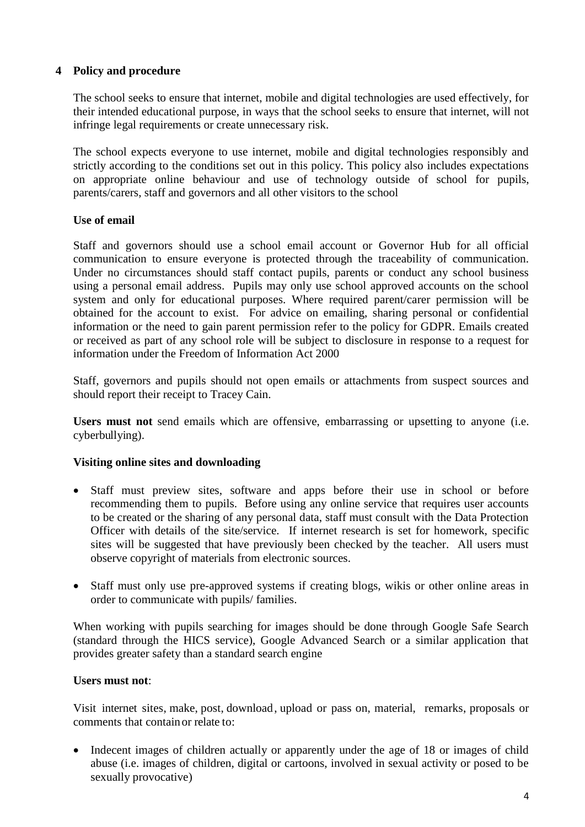## **4 Policy and procedure**

The school seeks to ensure that internet, mobile and digital technologies are used effectively, for their intended educational purpose, in ways that the school seeks to ensure that internet, will not infringe legal requirements or create unnecessary risk.

The school expects everyone to use internet, mobile and digital technologies responsibly and strictly according to the conditions set out in this policy. This policy also includes expectations on appropriate online behaviour and use of technology outside of school for pupils, parents/carers, staff and governors and all other visitors to the school

## **Use of email**

Staff and governors should use a school email account or Governor Hub for all official communication to ensure everyone is protected through the traceability of communication. Under no circumstances should staff contact pupils, parents or conduct any school business using a personal email address. Pupils may only use school approved accounts on the school system and only for educational purposes. Where required parent/carer permission will be obtained for the account to exist. For advice on emailing, sharing personal or confidential information or the need to gain parent permission refer to the policy for GDPR. Emails created or received as part of any school role will be subject to disclosure in response to a request for information under the Freedom of Information Act 2000

Staff, governors and pupils should not open emails or attachments from suspect sources and should report their receipt to Tracey Cain.

Users must not send emails which are offensive, embarrassing or upsetting to anyone (i.e. cyberbullying).

## **Visiting online sites and downloading**

- Staff must preview sites, software and apps before their use in school or before recommending them to pupils. Before using any online service that requires user accounts to be created or the sharing of any personal data, staff must consult with the Data Protection Officer with details of the site/service. If internet research is set for homework, specific sites will be suggested that have previously been checked by the teacher. All users must observe copyright of materials from electronic sources.
- Staff must only use pre-approved systems if creating blogs, wikis or other online areas in order to communicate with pupils/ families.

When working with pupils searching for images should be done through Google Safe Search (standard through the HICS service), Google Advanced Search or a similar application that provides greater safety than a standard search engine

#### **Users must not**:

Visit internet sites, make, post, download, upload or pass on, material, remarks, proposals or comments that containor relate to:

• Indecent images of children actually or apparently under the age of 18 or images of child abuse (i.e. images of children, digital or cartoons, involved in sexual activity or posed to be sexually provocative)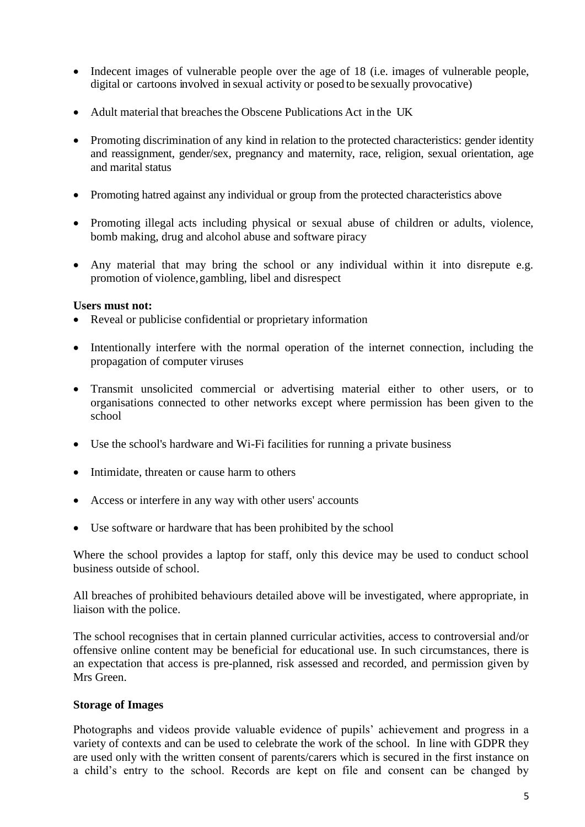- Indecent images of vulnerable people over the age of 18 (i.e. images of vulnerable people, digital or cartoons involved in sexual activity or posed to be sexually provocative)
- Adult material that breaches the Obscene Publications Act in the UK
- Promoting discrimination of any kind in relation to the protected characteristics: gender identity and reassignment, gender/sex, pregnancy and maternity, race, religion, sexual orientation, age and marital status
- Promoting hatred against any individual or group from the protected characteristics above
- Promoting illegal acts including physical or sexual abuse of children or adults, violence, bomb making, drug and alcohol abuse and software piracy
- Any material that may bring the school or any individual within it into disrepute e.g. promotion of violence,gambling, libel and disrespect

#### **Users must not:**

- Reveal or publicise confidential or proprietary information
- Intentionally interfere with the normal operation of the internet connection, including the propagation of computer viruses
- Transmit unsolicited commercial or advertising material either to other users, or to organisations connected to other networks except where permission has been given to the school
- Use the school's hardware and Wi-Fi facilities for running a private business
- Intimidate, threaten or cause harm to others
- Access or interfere in any way with other users' accounts
- Use software or hardware that has been prohibited by the school

Where the school provides a laptop for staff, only this device may be used to conduct school business outside of school.

All breaches of prohibited behaviours detailed above will be investigated, where appropriate, in liaison with the police.

The school recognises that in certain planned curricular activities, access to controversial and/or offensive online content may be beneficial for educational use. In such circumstances, there is an expectation that access is pre-planned, risk assessed and recorded, and permission given by Mrs Green.

#### **Storage of Images**

Photographs and videos provide valuable evidence of pupils' achievement and progress in a variety of contexts and can be used to celebrate the work of the school. In line with GDPR they are used only with the written consent of parents/carers which is secured in the first instance on a child's entry to the school. Records are kept on file and consent can be changed by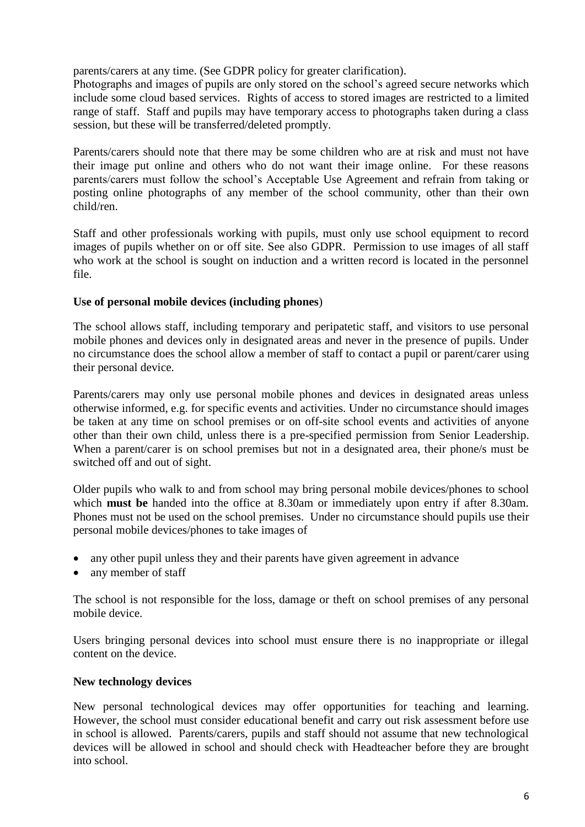parents/carers at any time. (See GDPR policy for greater clarification).

Photographs and images of pupils are only stored on the school's agreed secure networks which include some cloud based services. Rights of access to stored images are restricted to a limited range of staff. Staff and pupils may have temporary access to photographs taken during a class session, but these will be transferred/deleted promptly.

Parents/carers should note that there may be some children who are at risk and must not have their image put online and others who do not want their image online. For these reasons parents/carers must follow the school's Acceptable Use Agreement and refrain from taking or posting online photographs of any member of the school community, other than their own child/ren.

Staff and other professionals working with pupils, must only use school equipment to record images of pupils whether on or off site. See also GDPR. Permission to use images of all staff who work at the school is sought on induction and a written record is located in the personnel file.

#### **Use of personal mobile devices (including phones**)

The school allows staff, including temporary and peripatetic staff, and visitors to use personal mobile phones and devices only in designated areas and never in the presence of pupils. Under no circumstance does the school allow a member of staff to contact a pupil or parent/carer using their personal device.

Parents/carers may only use personal mobile phones and devices in designated areas unless otherwise informed, e.g. for specific events and activities. Under no circumstance should images be taken at any time on school premises or on off-site school events and activities of anyone other than their own child, unless there is a pre-specified permission from Senior Leadership. When a parent/carer is on school premises but not in a designated area, their phone/s must be switched off and out of sight.

Older pupils who walk to and from school may bring personal mobile devices/phones to school which **must be** handed into the office at 8.30am or immediately upon entry if after 8.30am. Phones must not be used on the school premises. Under no circumstance should pupils use their personal mobile devices/phones to take images of

- any other pupil unless they and their parents have given agreement in advance
- any member of staff

The school is not responsible for the loss, damage or theft on school premises of any personal mobile device.

Users bringing personal devices into school must ensure there is no inappropriate or illegal content on the device.

#### **New technology devices**

New personal technological devices may offer opportunities for teaching and learning. However, the school must consider educational benefit and carry out risk assessment before use in school is allowed. Parents/carers, pupils and staff should not assume that new technological devices will be allowed in school and should check with Headteacher before they are brought into school.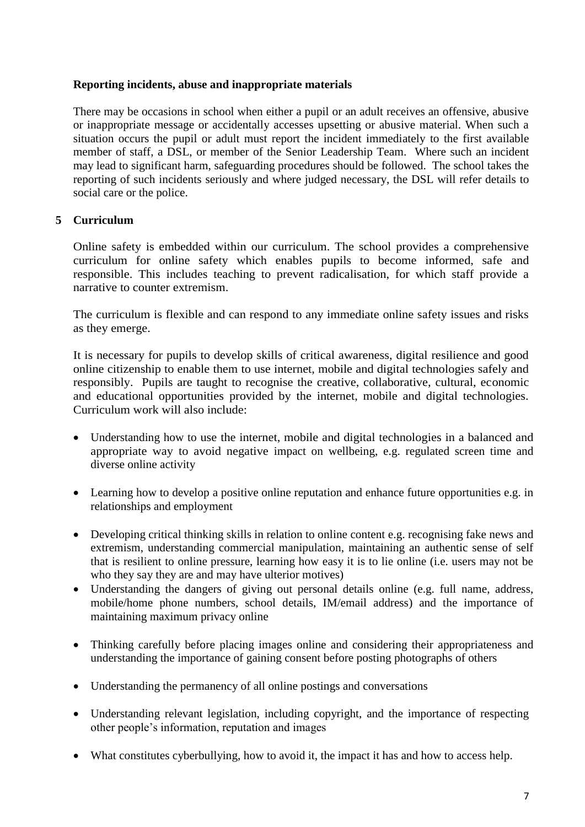## **Reporting incidents, abuse and inappropriate materials**

There may be occasions in school when either a pupil or an adult receives an offensive, abusive or inappropriate message or accidentally accesses upsetting or abusive material. When such a situation occurs the pupil or adult must report the incident immediately to the first available member of staff, a DSL, or member of the Senior Leadership Team. Where such an incident may lead to significant harm, safeguarding procedures should be followed. The school takes the reporting of such incidents seriously and where judged necessary, the DSL will refer details to social care or the police.

## <span id="page-6-0"></span>**5 Curriculum**

Online safety is embedded within our curriculum. The school provides a comprehensive curriculum for online safety which enables pupils to become informed, safe and responsible. This includes teaching to prevent radicalisation, for which staff provide a narrative to counter extremism.

The curriculum is flexible and can respond to any immediate online safety issues and risks as they emerge.

It is necessary for pupils to develop skills of critical awareness, digital resilience and good online citizenship to enable them to use internet, mobile and digital technologies safely and responsibly. Pupils are taught to recognise the creative, collaborative, cultural, economic and educational opportunities provided by the internet, mobile and digital technologies. Curriculum work will also include:

- Understanding how to use the internet, mobile and digital technologies in a balanced and appropriate way to avoid negative impact on wellbeing, e.g. regulated screen time and diverse online activity
- Learning how to develop a positive online reputation and enhance future opportunities e.g. in relationships and employment
- Developing critical thinking skills in relation to online content e.g. recognising fake news and extremism, understanding commercial manipulation, maintaining an authentic sense of self that is resilient to online pressure, learning how easy it is to lie online (i.e. users may not be who they say they are and may have ulterior motives)
- Understanding the dangers of giving out personal details online (e.g. full name, address, mobile/home phone numbers, school details, IM/email address) and the importance of maintaining maximum privacy online
- Thinking carefully before placing images online and considering their appropriateness and understanding the importance of gaining consent before posting photographs of others
- Understanding the permanency of all online postings and conversations
- Understanding relevant legislation, including copyright, and the importance of respecting other people's information, reputation and images
- <span id="page-6-1"></span>What constitutes cyberbullying, how to avoid it, the impact it has and how to access help.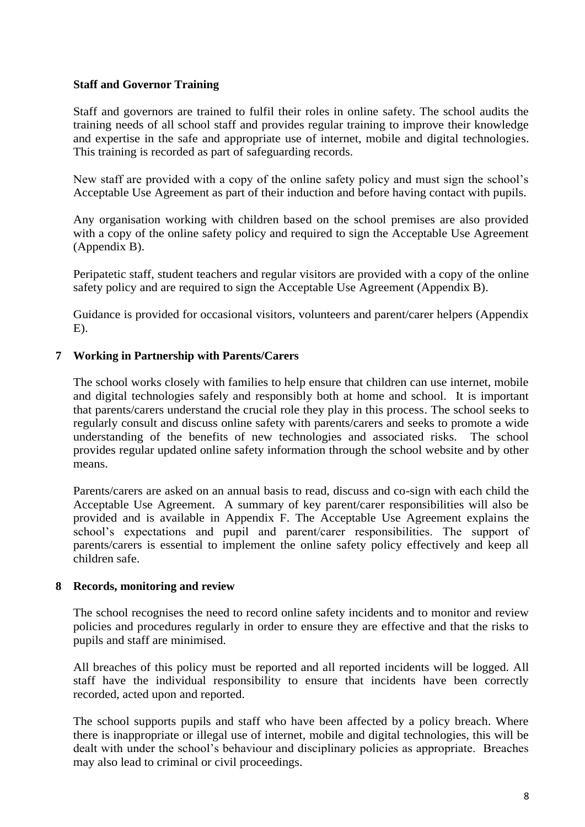## **Staff and Governor Training**

Staff and governors are trained to fulfil their roles in online safety. The school audits the training needs of all school staff and provides regular training to improve their knowledge and expertise in the safe and appropriate use of internet, mobile and digital technologies. This training is recorded as part of safeguarding records.

New staff are provided with a copy of the online safety policy and must sign the school's Acceptable Use Agreement as part of their induction and before having contact with pupils.

Any organisation working with children based on the school premises are also provided with a copy of the online safety policy and required to sign the Acceptable Use Agreement (Appendix B).

Peripatetic staff, student teachers and regular visitors are provided with a copy of the online safety policy and are required to sign the Acceptable Use Agreement (Appendix B).

Guidance is provided for occasional visitors, volunteers and parent/carer helpers (Appendix E).

#### <span id="page-7-0"></span>**7 Working in Partnership with Parents/Carers**

The school works closely with families to help ensure that children can use internet, mobile and digital technologies safely and responsibly both at home and school. It is important that parents/carers understand the crucial role they play in this process. The school seeks to regularly consult and discuss online safety with parents/carers and seeks to promote a wide understanding of the benefits of new technologies and associated risks. The school provides regular updated online safety information through the school website and by other means.

Parents/carers are asked on an annual basis to read, discuss and co-sign with each child the Acceptable Use Agreement. A summary of key parent/carer responsibilities will also be provided and is available in Appendix F. The Acceptable Use Agreement explains the school's expectations and pupil and parent/carer responsibilities. The support of parents/carers is essential to implement the online safety policy effectively and keep all children safe.

#### <span id="page-7-1"></span>**8 Records, monitoring and review**

The school recognises the need to record online safety incidents and to monitor and review policies and procedures regularly in order to ensure they are effective and that the risks to pupils and staff are minimised.

All breaches of this policy must be reported and all reported incidents will be logged. All staff have the individual responsibility to ensure that incidents have been correctly recorded, acted upon and reported.

The school supports pupils and staff who have been affected by a policy breach. Where there is inappropriate or illegal use of internet, mobile and digital technologies, this will be dealt with under the school's behaviour and disciplinary policies as appropriate. Breaches may also lead to criminal or civil proceedings.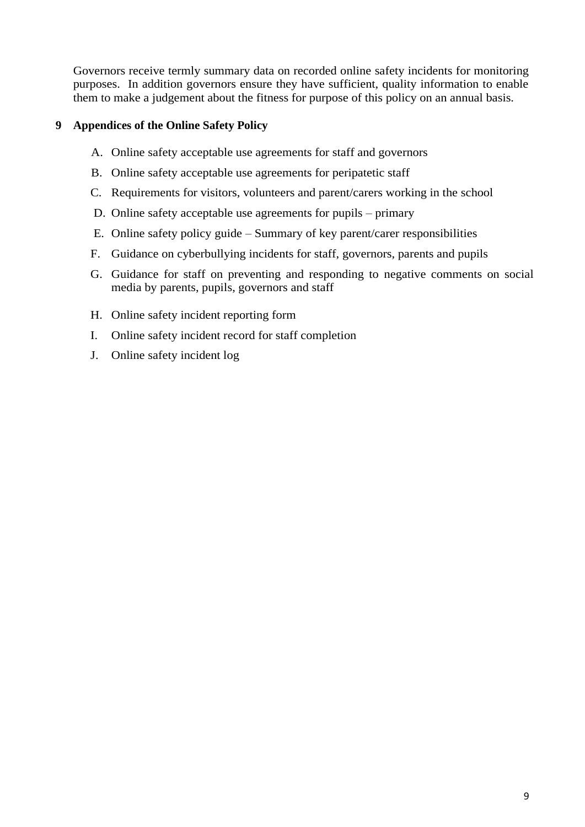Governors receive termly summary data on recorded online safety incidents for monitoring purposes. In addition governors ensure they have sufficient, quality information to enable them to make a judgement about the fitness for purpose of this policy on an annual basis.

## <span id="page-8-0"></span>**9 Appendices of the Online Safety Policy**

- A. Online safety acceptable use agreements for staff and governors
- B. Online safety acceptable use agreements for peripatetic staff
- C. Requirements for visitors, volunteers and parent/carers working in the school
- D. Online safety acceptable use agreements for pupils primary
- E. Online safety policy guide Summary of key parent/carer responsibilities
- F. Guidance on cyberbullying incidents for staff, governors, parents and pupils
- G. Guidance for staff on preventing and responding to negative comments on social media by parents, pupils, governors and staff
- H. Online safety incident reporting form
- I. Online safety incident record for staff completion
- J. Online safety incident log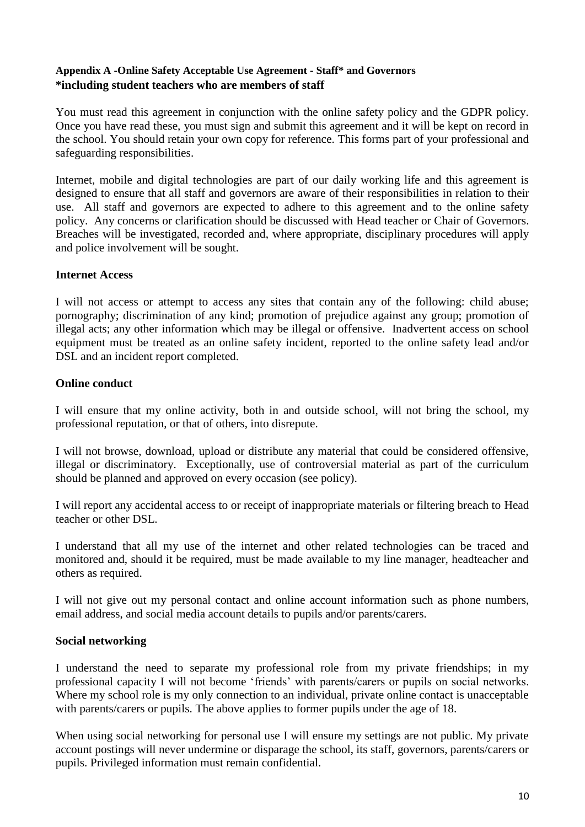## <span id="page-9-0"></span>**Appendix A -Online Safety Acceptable Use Agreement - Staff\* and Governors \*including student teachers who are members of staff**

You must read this agreement in conjunction with the online safety policy and the GDPR policy. Once you have read these, you must sign and submit this agreement and it will be kept on record in the school. You should retain your own copy for reference. This forms part of your professional and safeguarding responsibilities.

Internet, mobile and digital technologies are part of our daily working life and this agreement is designed to ensure that all staff and governors are aware of their responsibilities in relation to their use. All staff and governors are expected to adhere to this agreement and to the online safety policy. Any concerns or clarification should be discussed with Head teacher or Chair of Governors. Breaches will be investigated, recorded and, where appropriate, disciplinary procedures will apply and police involvement will be sought.

#### **Internet Access**

I will not access or attempt to access any sites that contain any of the following: child abuse; pornography; discrimination of any kind; promotion of prejudice against any group; promotion of illegal acts; any other information which may be illegal or offensive. Inadvertent access on school equipment must be treated as an online safety incident, reported to the online safety lead and/or DSL and an incident report completed.

## **Online conduct**

I will ensure that my online activity, both in and outside school, will not bring the school, my professional reputation, or that of others, into disrepute.

I will not browse, download, upload or distribute any material that could be considered offensive, illegal or discriminatory. Exceptionally, use of controversial material as part of the curriculum should be planned and approved on every occasion (see policy).

I will report any accidental access to or receipt of inappropriate materials or filtering breach to Head teacher or other DSL.

I understand that all my use of the internet and other related technologies can be traced and monitored and, should it be required, must be made available to my line manager, headteacher and others as required.

I will not give out my personal contact and online account information such as phone numbers, email address, and social media account details to pupils and/or parents/carers.

## **Social networking**

I understand the need to separate my professional role from my private friendships; in my professional capacity I will not become 'friends' with parents/carers or pupils on social networks. Where my school role is my only connection to an individual, private online contact is unacceptable with parents/carers or pupils. The above applies to former pupils under the age of 18.

When using social networking for personal use I will ensure my settings are not public. My private account postings will never undermine or disparage the school, its staff, governors, parents/carers or pupils. Privileged information must remain confidential.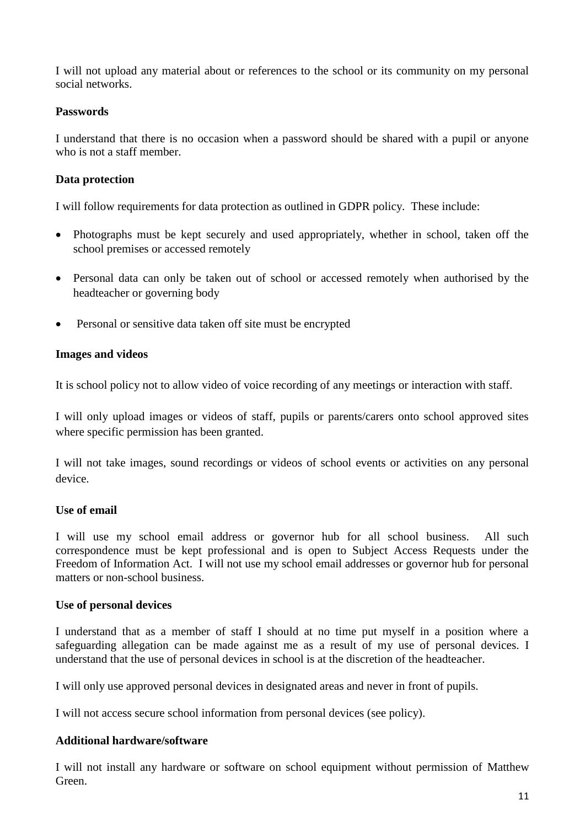I will not upload any material about or references to the school or its community on my personal social networks.

#### **Passwords**

I understand that there is no occasion when a password should be shared with a pupil or anyone who is not a staff member.

## **Data protection**

I will follow requirements for data protection as outlined in GDPR policy. These include:

- Photographs must be kept securely and used appropriately, whether in school, taken off the school premises or accessed remotely
- Personal data can only be taken out of school or accessed remotely when authorised by the headteacher or governing body
- Personal or sensitive data taken off site must be encrypted

#### **Images and videos**

It is school policy not to allow video of voice recording of any meetings or interaction with staff.

I will only upload images or videos of staff, pupils or parents/carers onto school approved sites where specific permission has been granted.

I will not take images, sound recordings or videos of school events or activities on any personal device.

## **Use of email**

I will use my school email address or governor hub for all school business. All such correspondence must be kept professional and is open to Subject Access Requests under the Freedom of Information Act. I will not use my school email addresses or governor hub for personal matters or non-school business.

#### **Use of personal devices**

I understand that as a member of staff I should at no time put myself in a position where a safeguarding allegation can be made against me as a result of my use of personal devices. I understand that the use of personal devices in school is at the discretion of the headteacher.

I will only use approved personal devices in designated areas and never in front of pupils.

I will not access secure school information from personal devices (see policy).

#### **Additional hardware/software**

I will not install any hardware or software on school equipment without permission of Matthew Green.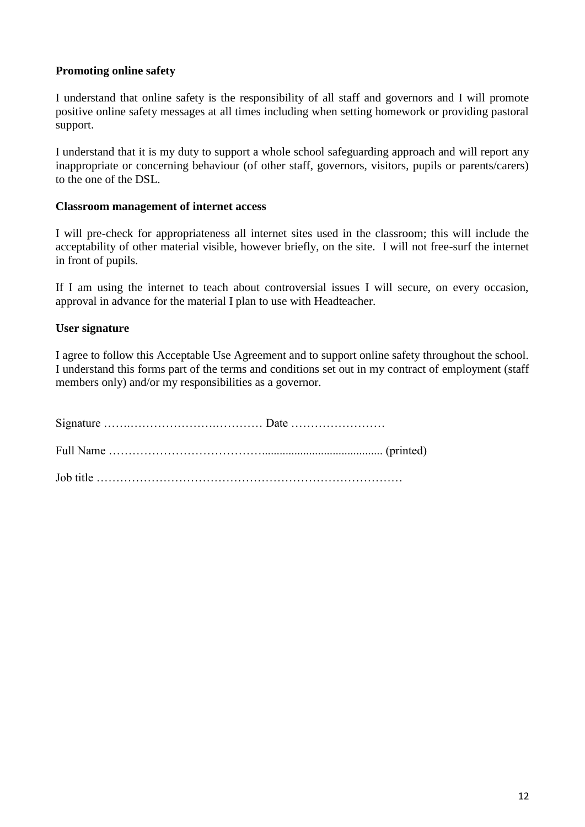## **Promoting online safety**

I understand that online safety is the responsibility of all staff and governors and I will promote positive online safety messages at all times including when setting homework or providing pastoral support.

I understand that it is my duty to support a whole school safeguarding approach and will report any inappropriate or concerning behaviour (of other staff, governors, visitors, pupils or parents/carers) to the one of the DSL.

#### **Classroom management of internet access**

I will pre-check for appropriateness all internet sites used in the classroom; this will include the acceptability of other material visible, however briefly, on the site. I will not free-surf the internet in front of pupils.

If I am using the internet to teach about controversial issues I will secure, on every occasion, approval in advance for the material I plan to use with Headteacher.

#### **User signature**

I agree to follow this Acceptable Use Agreement and to support online safety throughout the school. I understand this forms part of the terms and conditions set out in my contract of employment (staff members only) and/or my responsibilities as a governor.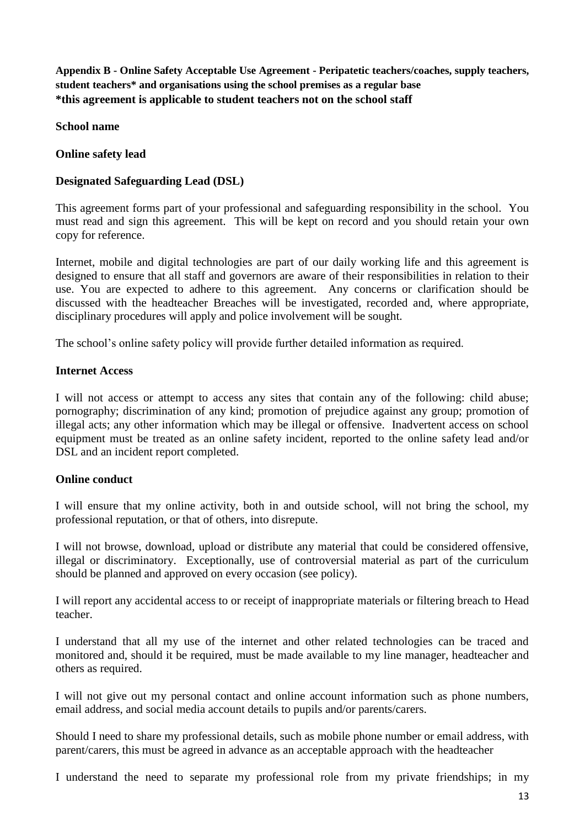<span id="page-12-0"></span>**Appendix B - Online Safety Acceptable Use Agreement - Peripatetic teachers/coaches, supply teachers, student teachers\* and organisations using the school premises as a regular base \*this agreement is applicable to student teachers not on the school staff**

**School name**

#### **Online safety lead**

## **Designated Safeguarding Lead (DSL)**

This agreement forms part of your professional and safeguarding responsibility in the school. You must read and sign this agreement. This will be kept on record and you should retain your own copy for reference.

Internet, mobile and digital technologies are part of our daily working life and this agreement is designed to ensure that all staff and governors are aware of their responsibilities in relation to their use. You are expected to adhere to this agreement. Any concerns or clarification should be discussed with the headteacher Breaches will be investigated, recorded and, where appropriate, disciplinary procedures will apply and police involvement will be sought.

The school's online safety policy will provide further detailed information as required.

#### **Internet Access**

I will not access or attempt to access any sites that contain any of the following: child abuse; pornography; discrimination of any kind; promotion of prejudice against any group; promotion of illegal acts; any other information which may be illegal or offensive. Inadvertent access on school equipment must be treated as an online safety incident, reported to the online safety lead and/or DSL and an incident report completed.

## **Online conduct**

I will ensure that my online activity, both in and outside school, will not bring the school, my professional reputation, or that of others, into disrepute.

I will not browse, download, upload or distribute any material that could be considered offensive, illegal or discriminatory. Exceptionally, use of controversial material as part of the curriculum should be planned and approved on every occasion (see policy).

I will report any accidental access to or receipt of inappropriate materials or filtering breach to Head teacher.

I understand that all my use of the internet and other related technologies can be traced and monitored and, should it be required, must be made available to my line manager, headteacher and others as required.

I will not give out my personal contact and online account information such as phone numbers, email address, and social media account details to pupils and/or parents/carers.

Should I need to share my professional details, such as mobile phone number or email address, with parent/carers, this must be agreed in advance as an acceptable approach with the headteacher

I understand the need to separate my professional role from my private friendships; in my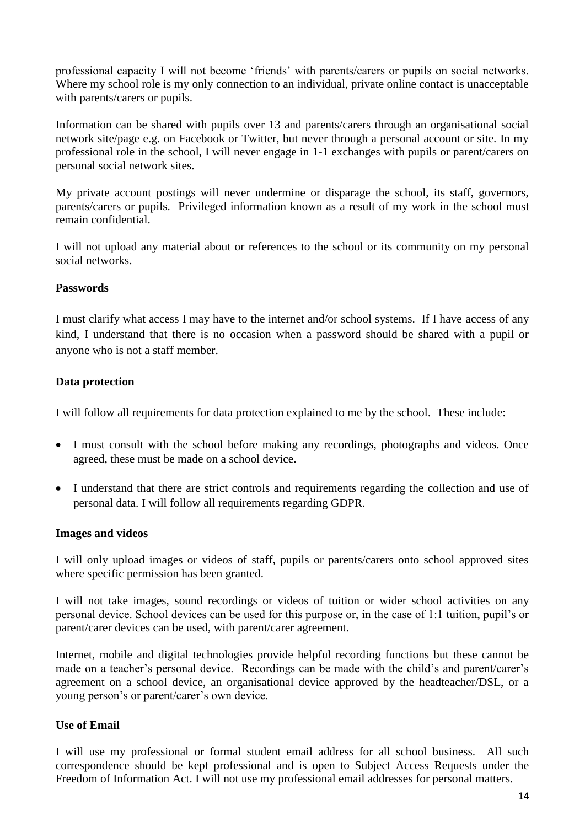professional capacity I will not become 'friends' with parents/carers or pupils on social networks. Where my school role is my only connection to an individual, private online contact is unacceptable with parents/carers or pupils.

Information can be shared with pupils over 13 and parents/carers through an organisational social network site/page e.g. on Facebook or Twitter, but never through a personal account or site. In my professional role in the school, I will never engage in 1-1 exchanges with pupils or parent/carers on personal social network sites.

My private account postings will never undermine or disparage the school, its staff, governors, parents/carers or pupils. Privileged information known as a result of my work in the school must remain confidential.

I will not upload any material about or references to the school or its community on my personal social networks.

## **Passwords**

I must clarify what access I may have to the internet and/or school systems. If I have access of any kind, I understand that there is no occasion when a password should be shared with a pupil or anyone who is not a staff member.

## **Data protection**

I will follow all requirements for data protection explained to me by the school. These include:

- I must consult with the school before making any recordings, photographs and videos. Once agreed, these must be made on a school device.
- I understand that there are strict controls and requirements regarding the collection and use of personal data. I will follow all requirements regarding GDPR.

#### **Images and videos**

I will only upload images or videos of staff, pupils or parents/carers onto school approved sites where specific permission has been granted.

I will not take images, sound recordings or videos of tuition or wider school activities on any personal device. School devices can be used for this purpose or, in the case of 1:1 tuition, pupil's or parent/carer devices can be used, with parent/carer agreement.

Internet, mobile and digital technologies provide helpful recording functions but these cannot be made on a teacher's personal device. Recordings can be made with the child's and parent/carer's agreement on a school device, an organisational device approved by the headteacher/DSL, or a young person's or parent/carer's own device.

## **Use of Email**

I will use my professional or formal student email address for all school business. All such correspondence should be kept professional and is open to Subject Access Requests under the Freedom of Information Act. I will not use my professional email addresses for personal matters.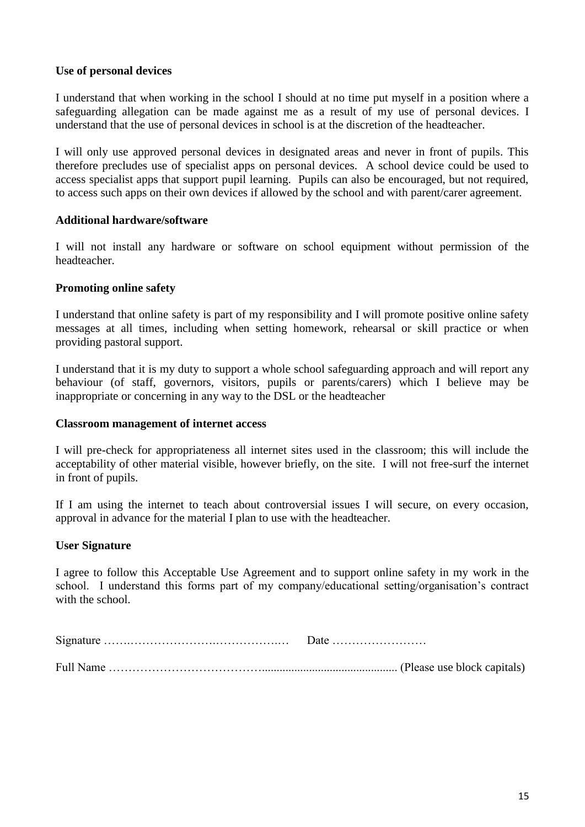## **Use of personal devices**

I understand that when working in the school I should at no time put myself in a position where a safeguarding allegation can be made against me as a result of my use of personal devices. I understand that the use of personal devices in school is at the discretion of the headteacher.

I will only use approved personal devices in designated areas and never in front of pupils. This therefore precludes use of specialist apps on personal devices. A school device could be used to access specialist apps that support pupil learning. Pupils can also be encouraged, but not required, to access such apps on their own devices if allowed by the school and with parent/carer agreement.

#### **Additional hardware/software**

I will not install any hardware or software on school equipment without permission of the headteacher.

## **Promoting online safety**

I understand that online safety is part of my responsibility and I will promote positive online safety messages at all times, including when setting homework, rehearsal or skill practice or when providing pastoral support.

I understand that it is my duty to support a whole school safeguarding approach and will report any behaviour (of staff, governors, visitors, pupils or parents/carers) which I believe may be inappropriate or concerning in any way to the DSL or the headteacher

#### **Classroom management of internet access**

I will pre-check for appropriateness all internet sites used in the classroom; this will include the acceptability of other material visible, however briefly, on the site. I will not free-surf the internet in front of pupils.

If I am using the internet to teach about controversial issues I will secure, on every occasion, approval in advance for the material I plan to use with the headteacher.

#### **User Signature**

I agree to follow this Acceptable Use Agreement and to support online safety in my work in the school. I understand this forms part of my company/educational setting/organisation's contract with the school

<span id="page-14-0"></span>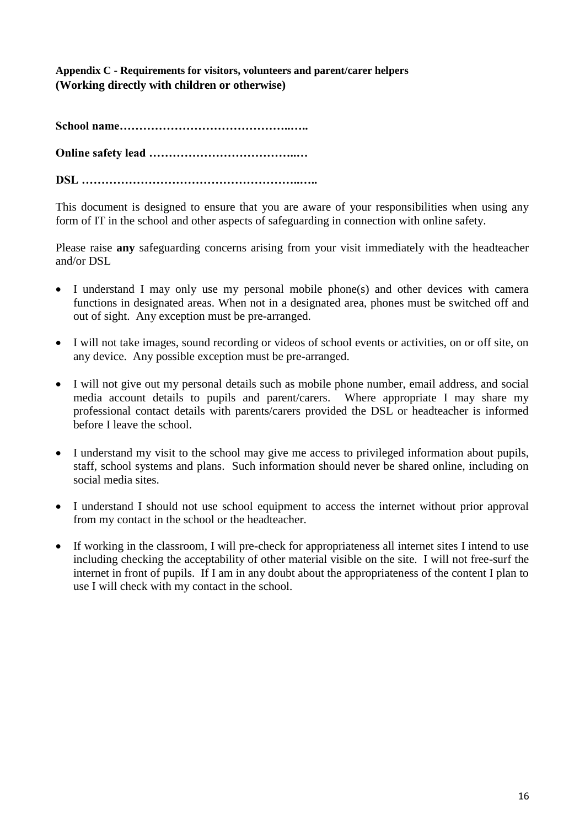**Appendix C - Requirements for visitors, volunteers and parent/carer helpers (Working directly with children or otherwise)**

**School name……………………………………..…..**

**Online safety lead ………………………………..…**

**DSL ………………………………………………..…..**

This document is designed to ensure that you are aware of your responsibilities when using any form of IT in the school and other aspects of safeguarding in connection with online safety.

Please raise **any** safeguarding concerns arising from your visit immediately with the headteacher and/or DSL

- I understand I may only use my personal mobile phone(s) and other devices with camera functions in designated areas. When not in a designated area, phones must be switched off and out of sight. Any exception must be pre-arranged.
- I will not take images, sound recording or videos of school events or activities, on or off site, on any device. Any possible exception must be pre-arranged.
- I will not give out my personal details such as mobile phone number, email address, and social media account details to pupils and parent/carers. Where appropriate I may share my professional contact details with parents/carers provided the DSL or headteacher is informed before I leave the school.
- I understand my visit to the school may give me access to privileged information about pupils, staff, school systems and plans. Such information should never be shared online, including on social media sites.
- I understand I should not use school equipment to access the internet without prior approval from my contact in the school or the headteacher.
- If working in the classroom, I will pre-check for appropriateness all internet sites I intend to use including checking the acceptability of other material visible on the site. I will not free-surf the internet in front of pupils. If I am in any doubt about the appropriateness of the content I plan to use I will check with my contact in the school.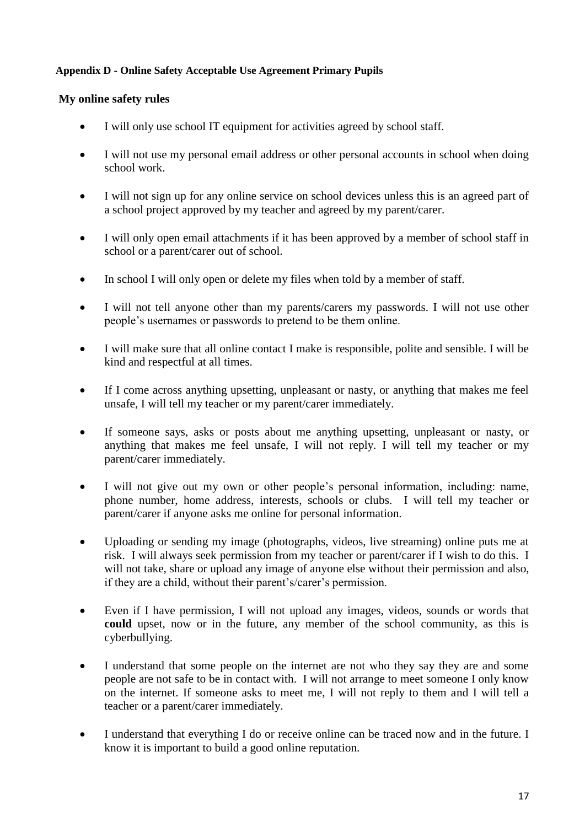## <span id="page-16-0"></span>**Appendix D - Online Safety Acceptable Use Agreement Primary Pupils**

## **My online safety rules**

- I will only use school IT equipment for activities agreed by school staff.
- I will not use my personal email address or other personal accounts in school when doing school work.
- I will not sign up for any online service on school devices unless this is an agreed part of a school project approved by my teacher and agreed by my parent/carer.
- I will only open email attachments if it has been approved by a member of school staff in school or a parent/carer out of school.
- In school I will only open or delete my files when told by a member of staff.
- I will not tell anyone other than my parents/carers my passwords. I will not use other people's usernames or passwords to pretend to be them online.
- I will make sure that all online contact I make is responsible, polite and sensible. I will be kind and respectful at all times.
- If I come across anything upsetting, unpleasant or nasty, or anything that makes me feel unsafe, I will tell my teacher or my parent/carer immediately.
- If someone says, asks or posts about me anything upsetting, unpleasant or nasty, or anything that makes me feel unsafe, I will not reply. I will tell my teacher or my parent/carer immediately.
- I will not give out my own or other people's personal information, including: name, phone number, home address, interests, schools or clubs. I will tell my teacher or parent/carer if anyone asks me online for personal information.
- Uploading or sending my image (photographs, videos, live streaming) online puts me at risk. I will always seek permission from my teacher or parent/carer if I wish to do this. I will not take, share or upload any image of anyone else without their permission and also, if they are a child, without their parent's/carer's permission.
- Even if I have permission, I will not upload any images, videos, sounds or words that **could** upset, now or in the future, any member of the school community, as this is cyberbullying.
- I understand that some people on the internet are not who they say they are and some people are not safe to be in contact with. I will not arrange to meet someone I only know on the internet. If someone asks to meet me, I will not reply to them and I will tell a teacher or a parent/carer immediately.
- I understand that everything I do or receive online can be traced now and in the future. I know it is important to build a good online reputation.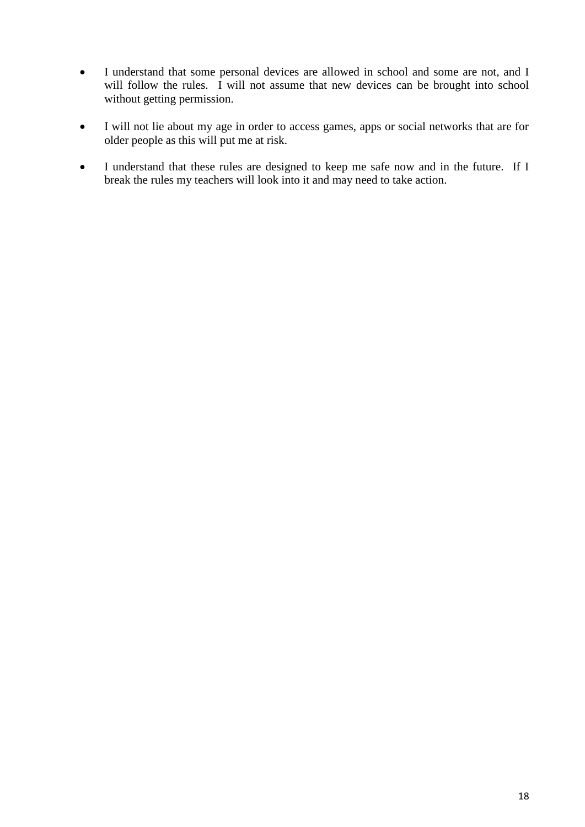- I understand that some personal devices are allowed in school and some are not, and I will follow the rules. I will not assume that new devices can be brought into school without getting permission.
- I will not lie about my age in order to access games, apps or social networks that are for older people as this will put me at risk.
- I understand that these rules are designed to keep me safe now and in the future. If I break the rules my teachers will look into it and may need to take action.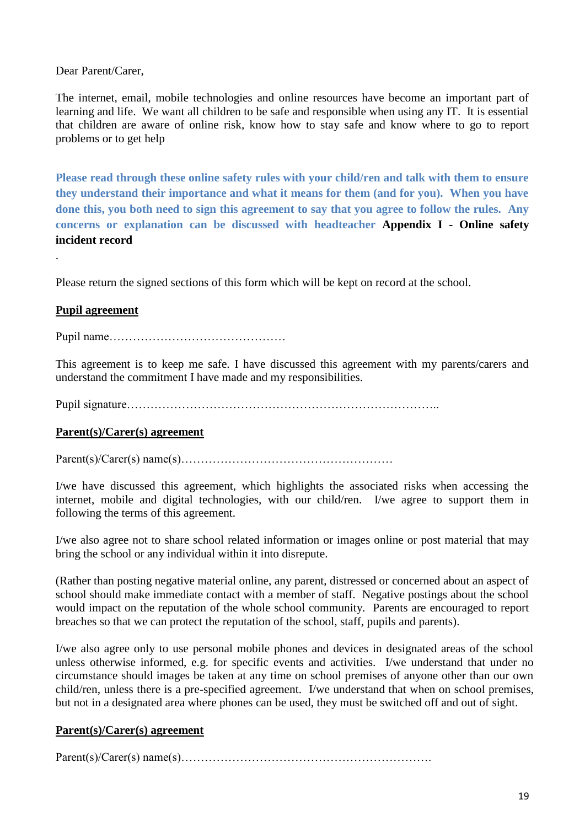#### Dear Parent/Carer,

The internet, email, mobile technologies and online resources have become an important part of learning and life. We want all children to be safe and responsible when using any IT. It is essential that children are aware of online risk, know how to stay safe and know where to go to report problems or to get help

**Please read through these online safety rules with your child/ren and talk with them to ensure they understand their importance and what it means for them (and for you). When you have done this, you both need to sign this agreement to say that you agree to follow the rules. Any concerns or explanation can be discussed with headteacher Appendix I - Online safety incident record**

Please return the signed sections of this form which will be kept on record at the school.

## **Pupil agreement**

.

Pupil name………………………………………

This agreement is to keep me safe. I have discussed this agreement with my parents/carers and understand the commitment I have made and my responsibilities.

Pupil signature……………………………………………………………………..

#### **Parent(s)/Carer(s) agreement**

Parent(s)/Carer(s) name(s)………………………………………………

I/we have discussed this agreement, which highlights the associated risks when accessing the internet, mobile and digital technologies, with our child/ren. I/we agree to support them in following the terms of this agreement.

I/we also agree not to share school related information or images online or post material that may bring the school or any individual within it into disrepute.

(Rather than posting negative material online, any parent, distressed or concerned about an aspect of school should make immediate contact with a member of staff. Negative postings about the school would impact on the reputation of the whole school community. Parents are encouraged to report breaches so that we can protect the reputation of the school, staff, pupils and parents).

I/we also agree only to use personal mobile phones and devices in designated areas of the school unless otherwise informed, e.g. for specific events and activities. I/we understand that under no circumstance should images be taken at any time on school premises of anyone other than our own child/ren, unless there is a pre-specified agreement. I/we understand that when on school premises, but not in a designated area where phones can be used, they must be switched off and out of sight.

#### **Parent(s)/Carer(s) agreement**

Parent(s)/Carer(s) name(s)……………………………………………………….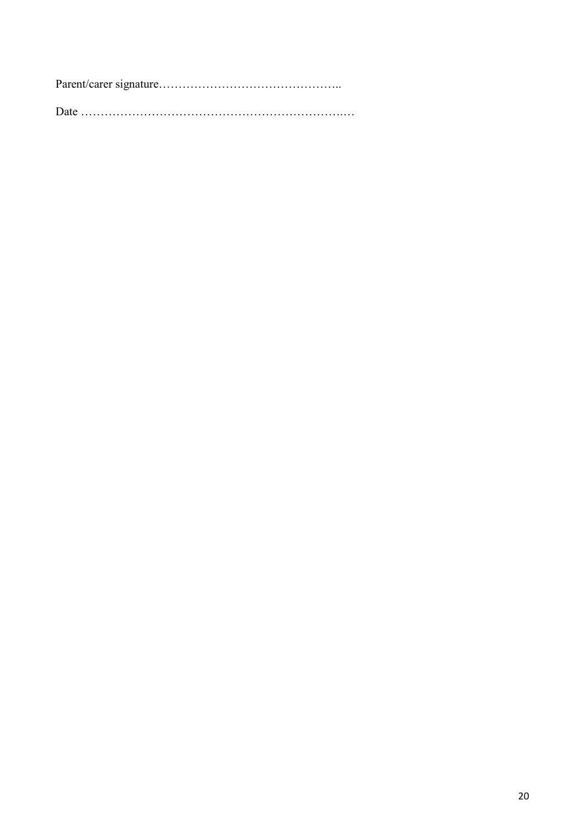Parent/carer signature………………………………………..

Date ………………………………………………………….…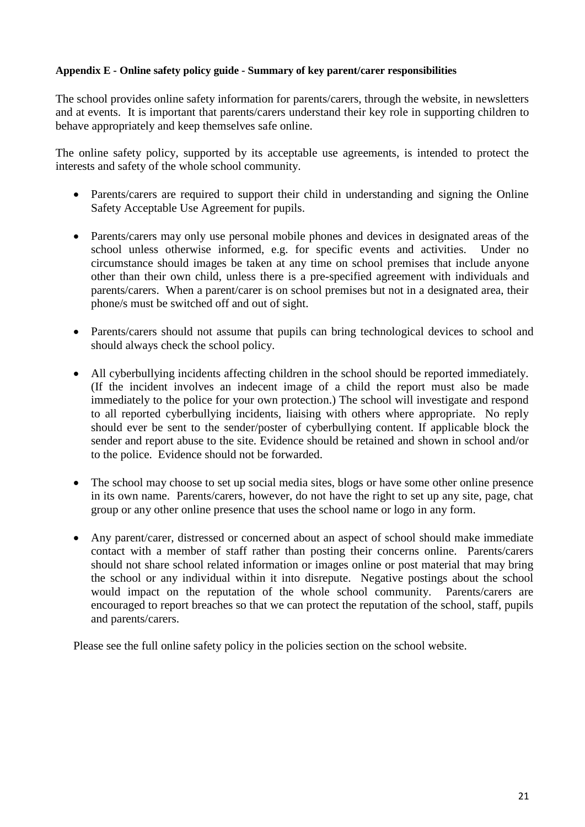#### <span id="page-20-0"></span>**Appendix E - Online safety policy guide - Summary of key parent/carer responsibilities**

The school provides online safety information for parents/carers, through the website, in newsletters and at events. It is important that parents/carers understand their key role in supporting children to behave appropriately and keep themselves safe online.

The online safety policy, supported by its acceptable use agreements, is intended to protect the interests and safety of the whole school community.

- Parents/carers are required to support their child in understanding and signing the Online Safety Acceptable Use Agreement for pupils.
- Parents/carers may only use personal mobile phones and devices in designated areas of the school unless otherwise informed, e.g. for specific events and activities. Under no circumstance should images be taken at any time on school premises that include anyone other than their own child, unless there is a pre-specified agreement with individuals and parents/carers. When a parent/carer is on school premises but not in a designated area, their phone/s must be switched off and out of sight.
- Parents/carers should not assume that pupils can bring technological devices to school and should always check the school policy.
- All cyberbullying incidents affecting children in the school should be reported immediately. (If the incident involves an indecent image of a child the report must also be made immediately to the police for your own protection.) The school will investigate and respond to all reported cyberbullying incidents, liaising with others where appropriate. No reply should ever be sent to the sender/poster of cyberbullying content. If applicable block the sender and report abuse to the site. Evidence should be retained and shown in school and/or to the police. Evidence should not be forwarded.
- The school may choose to set up social media sites, blogs or have some other online presence in its own name. Parents/carers, however, do not have the right to set up any site, page, chat group or any other online presence that uses the school name or logo in any form.
- Any parent/carer, distressed or concerned about an aspect of school should make immediate contact with a member of staff rather than posting their concerns online. Parents/carers should not share school related information or images online or post material that may bring the school or any individual within it into disrepute. Negative postings about the school would impact on the reputation of the whole school community. Parents/carers are encouraged to report breaches so that we can protect the reputation of the school, staff, pupils and parents/carers.

Please see the full online safety policy in the policies section on the school website.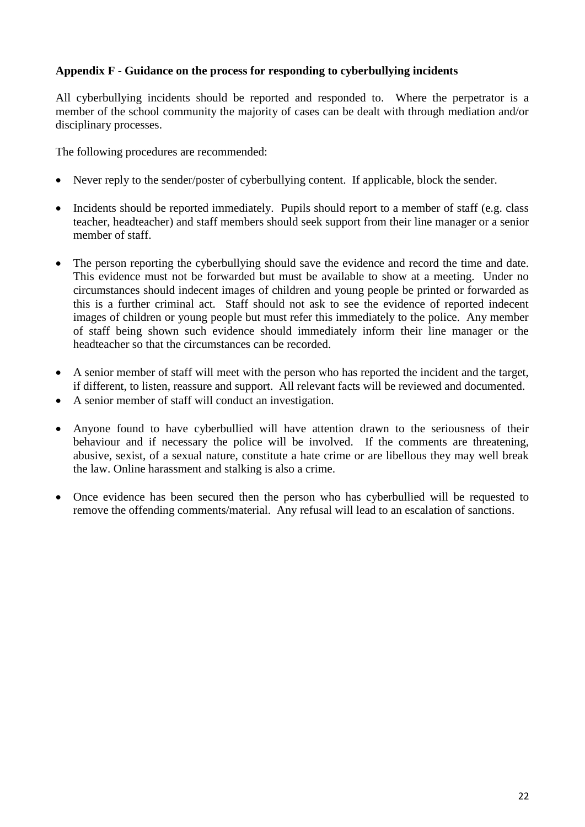## <span id="page-21-0"></span>**Appendix F - Guidance on the process for responding to cyberbullying incidents**

All cyberbullying incidents should be reported and responded to. Where the perpetrator is a member of the school community the majority of cases can be dealt with through mediation and/or disciplinary processes.

The following procedures are recommended:

- Never reply to the sender/poster of cyberbullying content. If applicable, block the sender.
- Incidents should be reported immediately. Pupils should report to a member of staff (e.g. class teacher, headteacher) and staff members should seek support from their line manager or a senior member of staff.
- The person reporting the cyberbullying should save the evidence and record the time and date. This evidence must not be forwarded but must be available to show at a meeting. Under no circumstances should indecent images of children and young people be printed or forwarded as this is a further criminal act. Staff should not ask to see the evidence of reported indecent images of children or young people but must refer this immediately to the police. Any member of staff being shown such evidence should immediately inform their line manager or the headteacher so that the circumstances can be recorded.
- A senior member of staff will meet with the person who has reported the incident and the target, if different, to listen, reassure and support. All relevant facts will be reviewed and documented.
- A senior member of staff will conduct an investigation.
- Anyone found to have cyberbullied will have attention drawn to the seriousness of their behaviour and if necessary the police will be involved. If the comments are threatening, abusive, sexist, of a sexual nature, constitute a hate crime or are libellous they may well break the law. Online harassment and stalking is also a crime.
- Once evidence has been secured then the person who has cyberbullied will be requested to remove the offending comments/material. Any refusal will lead to an escalation of sanctions.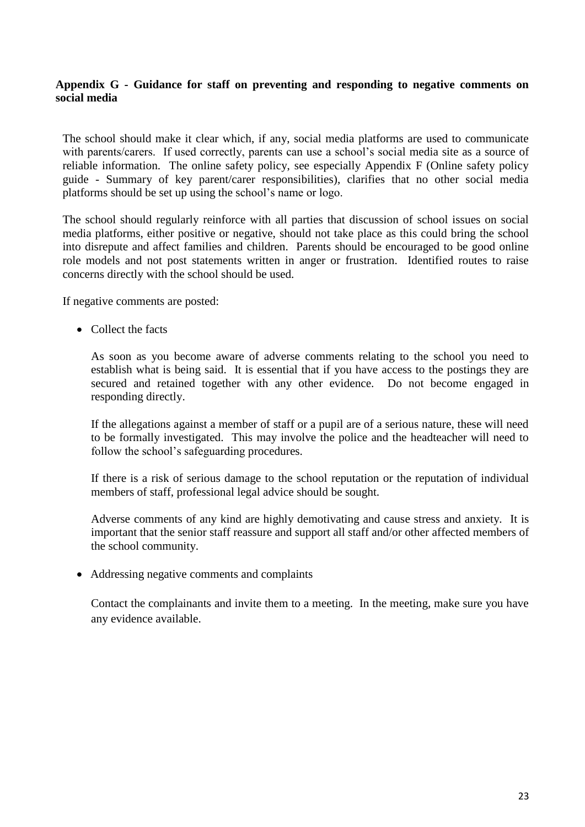## <span id="page-22-0"></span>**Appendix G - Guidance for staff on preventing and responding to negative comments on social media**

The school should make it clear which, if any, social media platforms are used to communicate with parents/carers. If used correctly, parents can use a school's social media site as a source of reliable information. The online safety policy, see especially Appendix F (Online safety policy guide - Summary of key parent/carer responsibilities), clarifies that no other social media platforms should be set up using the school's name or logo.

The school should regularly reinforce with all parties that discussion of school issues on social media platforms, either positive or negative, should not take place as this could bring the school into disrepute and affect families and children. Parents should be encouraged to be good online role models and not post statements written in anger or frustration. Identified routes to raise concerns directly with the school should be used.

If negative comments are posted:

• Collect the facts

As soon as you become aware of adverse comments relating to the school you need to establish what is being said. It is essential that if you have access to the postings they are secured and retained together with any other evidence. Do not become engaged in responding directly.

If the allegations against a member of staff or a pupil are of a serious nature, these will need to be formally investigated. This may involve the police and the headteacher will need to follow the school's safeguarding procedures.

If there is a risk of serious damage to the school reputation or the reputation of individual members of staff, professional legal advice should be sought.

Adverse comments of any kind are highly demotivating and cause stress and anxiety. It is important that the senior staff reassure and support all staff and/or other affected members of the school community.

Addressing negative comments and complaints

Contact the complainants and invite them to a meeting. In the meeting, make sure you have any evidence available.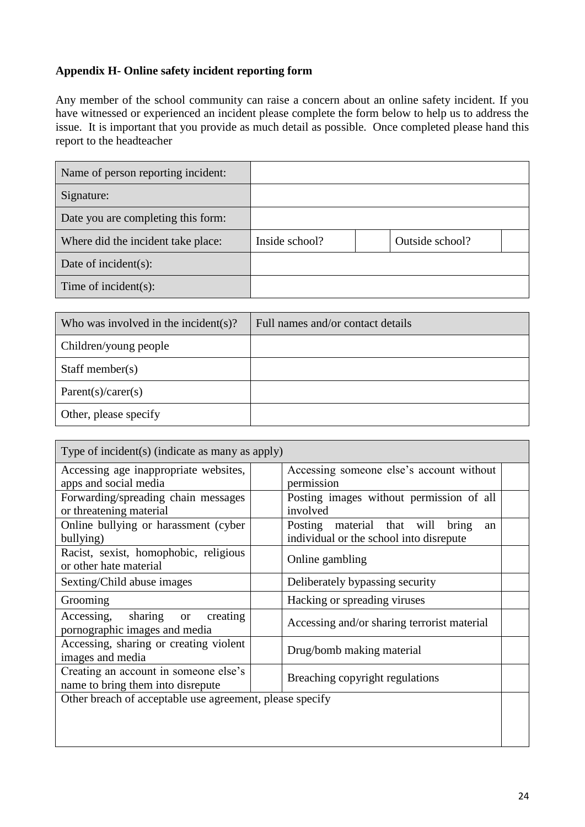## <span id="page-23-0"></span>**Appendix H- Online safety incident reporting form**

Any member of the school community can raise a concern about an online safety incident. If you have witnessed or experienced an incident please complete the form below to help us to address the issue. It is important that you provide as much detail as possible. Once completed please hand this report to the headteacher

| Name of person reporting incident: |                |                 |
|------------------------------------|----------------|-----------------|
| Signature:                         |                |                 |
| Date you are completing this form: |                |                 |
| Where did the incident take place: | Inside school? | Outside school? |
| Date of incident $(s)$ :           |                |                 |
| Time of incident $(s)$ :           |                |                 |

| Who was involved in the incident(s)? | Full names and/or contact details |
|--------------------------------------|-----------------------------------|
| Children/young people                |                                   |
| Staff member( $s$ )                  |                                   |
| Parent(s)/care(s)                    |                                   |
| Other, please specify                |                                   |

| Type of incident(s) (indicate as many as apply)                              |                                             |  |  |
|------------------------------------------------------------------------------|---------------------------------------------|--|--|
| Accessing age inappropriate websites,                                        | Accessing someone else's account without    |  |  |
| apps and social media                                                        | permission                                  |  |  |
| Forwarding/spreading chain messages                                          | Posting images without permission of all    |  |  |
| or threatening material                                                      | involved                                    |  |  |
| Online bullying or harassment (cyber                                         | Posting material that will<br>bring<br>an   |  |  |
| bullying)                                                                    | individual or the school into disrepute     |  |  |
| Racist, sexist, homophobic, religious                                        | Online gambling                             |  |  |
| or other hate material                                                       |                                             |  |  |
| Sexting/Child abuse images                                                   | Deliberately bypassing security             |  |  |
| Grooming                                                                     | Hacking or spreading viruses                |  |  |
| Accessing, sharing<br>creating<br><b>or</b><br>pornographic images and media | Accessing and/or sharing terrorist material |  |  |
| Accessing, sharing or creating violent<br>images and media                   | Drug/bomb making material                   |  |  |
| Creating an account in someone else's                                        |                                             |  |  |
| Breaching copyright regulations<br>name to bring them into disrepute         |                                             |  |  |
| Other breach of acceptable use agreement, please specify                     |                                             |  |  |
|                                                                              |                                             |  |  |
|                                                                              |                                             |  |  |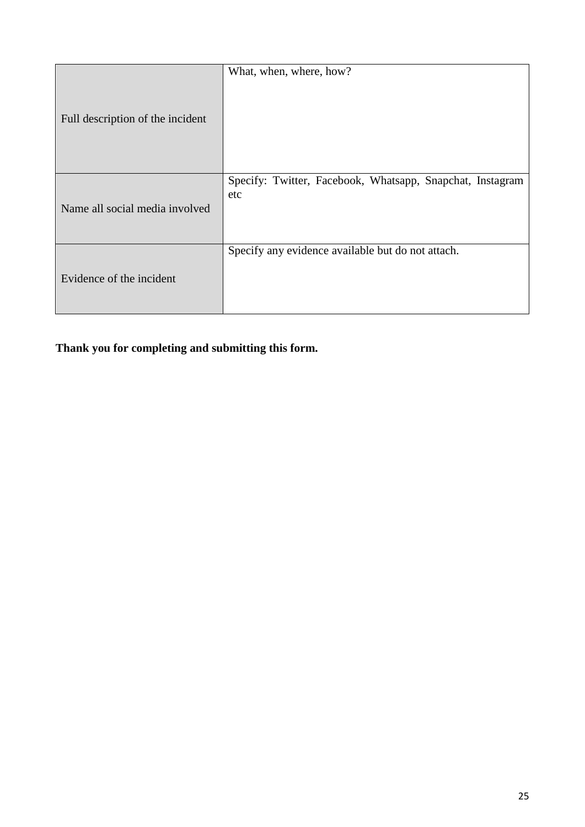|                                  | What, when, where, how?                                          |
|----------------------------------|------------------------------------------------------------------|
| Full description of the incident |                                                                  |
|                                  | Specify: Twitter, Facebook, Whatsapp, Snapchat, Instagram<br>etc |
| Name all social media involved   |                                                                  |
|                                  | Specify any evidence available but do not attach.                |
| Evidence of the incident         |                                                                  |

**Thank you for completing and submitting this form.**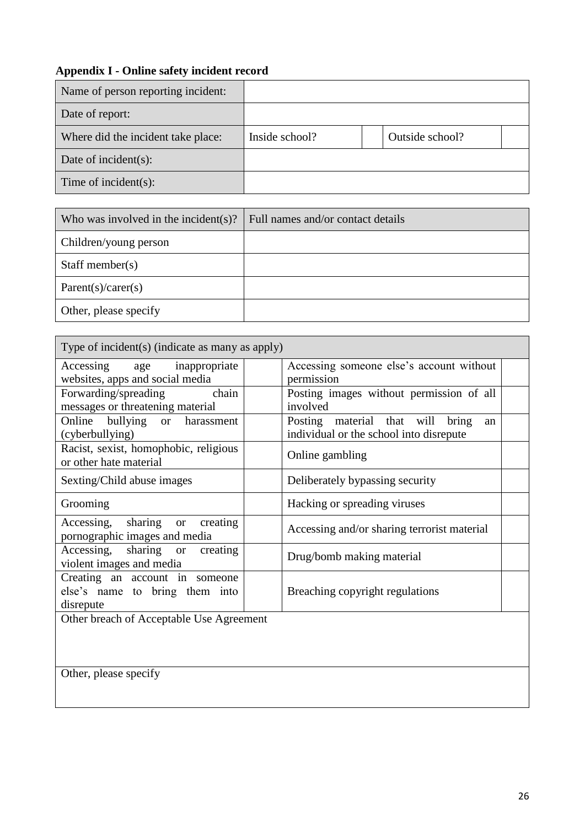## <span id="page-25-0"></span>**Appendix I - Online safety incident record**

r

| Name of person reporting incident: |                |                 |  |
|------------------------------------|----------------|-----------------|--|
| Date of report:                    |                |                 |  |
| Where did the incident take place: | Inside school? | Outside school? |  |
| Date of incident(s):               |                |                 |  |
| Time of incident $(s)$ :           |                |                 |  |

| Who was involved in the incident(s)? | Full names and/or contact details |
|--------------------------------------|-----------------------------------|
| Children/young person                |                                   |
| Staff member( $s$ )                  |                                   |
| Parent(s)/care(s)                    |                                   |
| Other, please specify                |                                   |

| Type of incident(s) (indicate as many as apply)                    |                                             |  |  |  |
|--------------------------------------------------------------------|---------------------------------------------|--|--|--|
| Accessing age inappropriate                                        | Accessing someone else's account without    |  |  |  |
| websites, apps and social media                                    | permission                                  |  |  |  |
| chain<br>Forwarding/spreading                                      | Posting images without permission of all    |  |  |  |
| messages or threatening material                                   | involved                                    |  |  |  |
| Online bullying or<br>harassment                                   | Posting material that will<br>bring<br>an   |  |  |  |
| (cyberbullying)                                                    | individual or the school into disrepute     |  |  |  |
| Racist, sexist, homophobic, religious                              | Online gambling                             |  |  |  |
| or other hate material                                             |                                             |  |  |  |
| Sexting/Child abuse images                                         | Deliberately bypassing security             |  |  |  |
| Grooming                                                           | Hacking or spreading viruses                |  |  |  |
| Accessing, sharing or<br>creating<br>pornographic images and media | Accessing and/or sharing terrorist material |  |  |  |
| Accessing, sharing or<br>creating                                  |                                             |  |  |  |
| violent images and media                                           | Drug/bomb making material                   |  |  |  |
| Creating an account in someone                                     |                                             |  |  |  |
| else's name to bring them into                                     | Breaching copyright regulations             |  |  |  |
| disrepute                                                          |                                             |  |  |  |
| Other breach of Acceptable Use Agreement                           |                                             |  |  |  |
|                                                                    |                                             |  |  |  |
|                                                                    |                                             |  |  |  |
|                                                                    |                                             |  |  |  |
| Other, please specify                                              |                                             |  |  |  |
|                                                                    |                                             |  |  |  |
|                                                                    |                                             |  |  |  |

 $\overline{\phantom{0}}$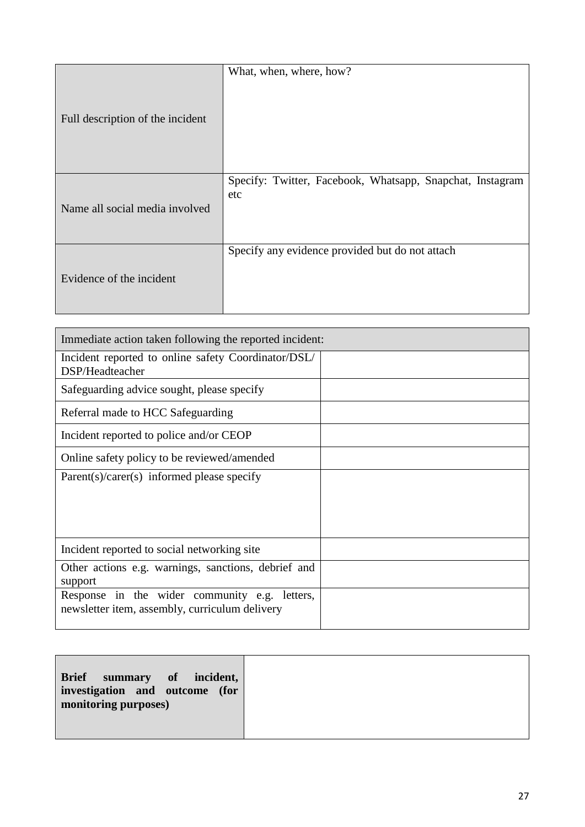|                                  | What, when, where, how?                                          |
|----------------------------------|------------------------------------------------------------------|
| Full description of the incident |                                                                  |
| Name all social media involved   | Specify: Twitter, Facebook, Whatsapp, Snapchat, Instagram<br>etc |
| Evidence of the incident         | Specify any evidence provided but do not attach                  |

| Immediate action taken following the reported incident:                                         |  |  |
|-------------------------------------------------------------------------------------------------|--|--|
| Incident reported to online safety Coordinator/DSL/<br>DSP/Headteacher                          |  |  |
| Safeguarding advice sought, please specify                                                      |  |  |
| Referral made to HCC Safeguarding                                                               |  |  |
| Incident reported to police and/or CEOP                                                         |  |  |
| Online safety policy to be reviewed/amended                                                     |  |  |
| $Parent(s)/care(s)$ informed please specify                                                     |  |  |
|                                                                                                 |  |  |
|                                                                                                 |  |  |
| Incident reported to social networking site                                                     |  |  |
| Other actions e.g. warnings, sanctions, debrief and<br>support                                  |  |  |
| Response in the wider community e.g. letters,<br>newsletter item, assembly, curriculum delivery |  |  |
|                                                                                                 |  |  |

|--|